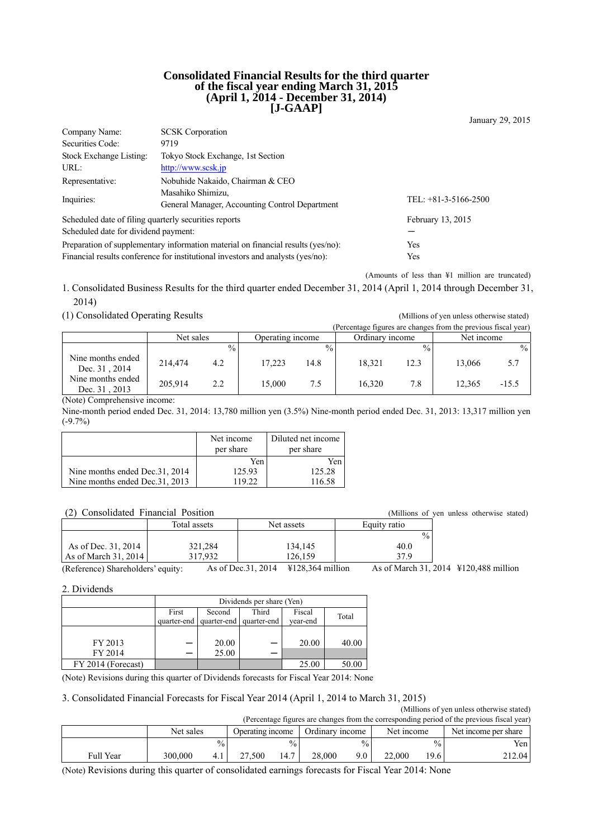### **Consolidated Financial Results for the third quarter of the fiscal year ending March 31, 2015 (April 1, 2014 - December 31, 2014) [J-GAAP]**

January 29, 2015

| Company Name:                                         | <b>SCSK</b> Corporation                                                          |                        |
|-------------------------------------------------------|----------------------------------------------------------------------------------|------------------------|
| Securities Code:                                      | 9719                                                                             |                        |
| Stock Exchange Listing:                               | Tokyo Stock Exchange, 1st Section                                                |                        |
| URL:                                                  | http://www.scsk.jp                                                               |                        |
| Representative:                                       | Nobuhide Nakaido, Chairman & CEO                                                 |                        |
| Inquiries:                                            | Masahiko Shimizu,<br>General Manager, Accounting Control Department              | TEL: $+81-3-5166-2500$ |
| Scheduled date of filing quarterly securities reports |                                                                                  | February 13, 2015      |
| Scheduled date for dividend payment:                  |                                                                                  |                        |
|                                                       | Preparation of supplementary information material on financial results (yes/no): | Yes                    |
|                                                       | Financial results conference for institutional investors and analysts (yes/no):  | Yes                    |

(Amounts of less than ¥1 million are truncated)

1. Consolidated Business Results for the third quarter ended December 31, 2014 (April 1, 2014 through December 31, 2014)

(1) Consolidated Operating Results (Millions of yen unless otherwise stated)

|                                    |           |               |                  |               | (Percentage figures are changes from the previous fiscal year) |               |            |         |
|------------------------------------|-----------|---------------|------------------|---------------|----------------------------------------------------------------|---------------|------------|---------|
|                                    | Net sales |               | Operating income |               | Ordinary income                                                |               | Net income |         |
|                                    |           | $\frac{0}{0}$ |                  | $\frac{0}{0}$ |                                                                | $\frac{0}{0}$ |            | $\%$    |
| Nine months ended<br>Dec. 31, 2014 | 214,474   | 4.2           | 17.223           | 14.8          | 18.321                                                         | 12.3          | 13.066     | 5.7     |
| Nine months ended<br>Dec. 31, 2013 | 205.914   | 2.2           | 15,000           | 7.5           | 16.320                                                         | 7.8           | 12.365     | $-15.5$ |

(Note) Comprehensive income:

Nine-month period ended Dec. 31, 2014: 13,780 million yen (3.5%) Nine-month period ended Dec. 31, 2013: 13,317 million yen  $(-9.7\%)$ 

|                                 | Net income<br>per share | Diluted net income<br>per share |
|---------------------------------|-------------------------|---------------------------------|
|                                 | Yen                     | Yen                             |
| Nine months ended Dec. 31, 2014 | 125.93                  | 125.28                          |
| Nine months ended Dec. 31, 2013 | 119.22                  | 116.58                          |

#### (2) Consolidated Financial Position (Millions of yen unless otherwise stated)

|                                              | Total assets | Net assets                        | Equity ratio                                                           |
|----------------------------------------------|--------------|-----------------------------------|------------------------------------------------------------------------|
|                                              |              |                                   | $\%$                                                                   |
| As of Dec. 31, 2014                          | 321,284      | 134,145                           | 40.0                                                                   |
| As of March 31, 2014                         | 317,932      | 126.159                           | 37 Q                                                                   |
| $\sqrt{2}$<br>$\sim$ $\sim$ $\sim$ $\sim$ 11 |              | $\lambda$ CD 31 3014 V130 364 111 | $\lambda$ $\alpha \lambda$ $\beta$ $\gamma$ $\gamma$ $\gamma$ $\gamma$ |

(Reference) Shareholders' equity: As of Dec.31, 2014 ¥128,364 million As of March 31, 2014 ¥120,488 million

2. Dividends

|                    | Dividends per share (Yen) |                         |             |          |       |  |
|--------------------|---------------------------|-------------------------|-------------|----------|-------|--|
|                    | First                     | Second                  | Fiscal      | Total    |       |  |
|                    |                           | quarter-end quarter-end | quarter-end | year-end |       |  |
|                    |                           |                         |             |          |       |  |
| FY 2013            |                           | 20.00                   |             | 20.00    | 40.00 |  |
| FY 2014            |                           | 25.00                   |             |          |       |  |
| FY 2014 (Forecast) |                           |                         |             | 25.00    | 50.00 |  |

(Note) Revisions during this quarter of Dividends forecasts for Fiscal Year 2014: None

## 3. Consolidated Financial Forecasts for Fiscal Year 2014 (April 1, 2014 to March 31, 2015)

(Millions of yen unless otherwise stated) (Percentage figures are changes from the corresponding period of the previous fiscal year)

|           | Net sales |               | Operating income |               | Ordinary income |               | Net income |               | Net income per share |
|-----------|-----------|---------------|------------------|---------------|-----------------|---------------|------------|---------------|----------------------|
|           |           | $\frac{0}{0}$ |                  | $\frac{0}{0}$ |                 | $\frac{0}{0}$ |            | $\frac{0}{0}$ | Yen                  |
| Full Year | 300,000   | 4.1           | 27.500           | 14.7          | 28,000          | 9.0           | 22.000     | 19.61         | 212.04               |

(Note) Revisions during this quarter of consolidated earnings forecasts for Fiscal Year 2014: None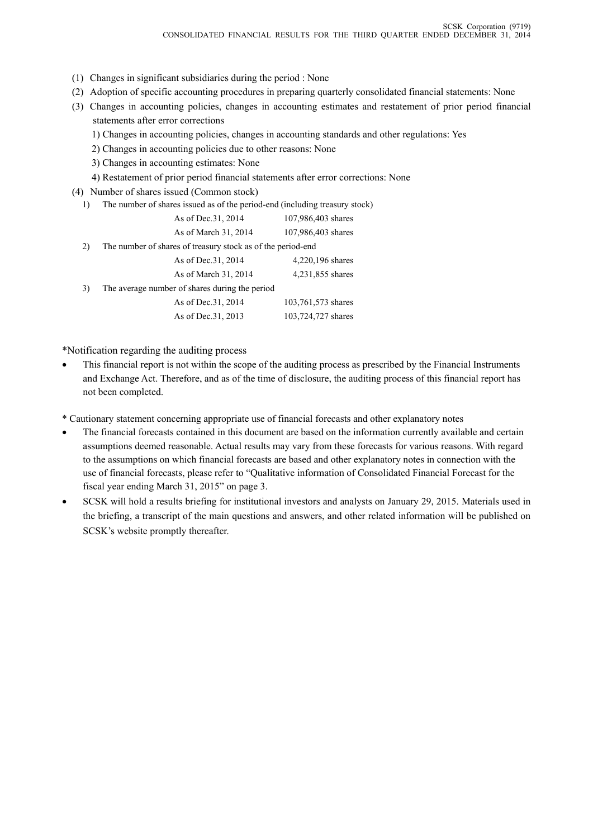- (1) Changes in significant subsidiaries during the period : None
- (2) Adoption of specific accounting procedures in preparing quarterly consolidated financial statements: None
- (3) Changes in accounting policies, changes in accounting estimates and restatement of prior period financial statements after error corrections
	- 1) Changes in accounting policies, changes in accounting standards and other regulations: Yes
	- 2) Changes in accounting policies due to other reasons: None
	- 3) Changes in accounting estimates: None
	- 4) Restatement of prior period financial statements after error corrections: None
- (4) Number of shares issued (Common stock)
	- 1) The number of shares issued as of the period-end (including treasury stock)

|    | As of Dec. 31, 2014                                         | 107,986,403 shares |
|----|-------------------------------------------------------------|--------------------|
|    | As of March 31, 2014                                        | 107,986,403 shares |
| 2) | The number of shares of treasury stock as of the period-end |                    |
|    | As of Dec. 31, 2014                                         | 4,220,196 shares   |
|    | As of March 31, 2014                                        | 4,231,855 shares   |
| 3) | The average number of shares during the period              |                    |
|    | As of Dec. 31, 2014                                         | 103,761,573 shares |
|    | As of Dec. 31, 2013                                         | 103,724,727 shares |
|    |                                                             |                    |

\*Notification regarding the auditing process

 This financial report is not within the scope of the auditing process as prescribed by the Financial Instruments and Exchange Act. Therefore, and as of the time of disclosure, the auditing process of this financial report has not been completed.

\* Cautionary statement concerning appropriate use of financial forecasts and other explanatory notes

- The financial forecasts contained in this document are based on the information currently available and certain assumptions deemed reasonable. Actual results may vary from these forecasts for various reasons. With regard to the assumptions on which financial forecasts are based and other explanatory notes in connection with the use of financial forecasts, please refer to "Qualitative information of Consolidated Financial Forecast for the fiscal year ending March 31, 2015" on page 3.
- SCSK will hold a results briefing for institutional investors and analysts on January 29, 2015. Materials used in the briefing, a transcript of the main questions and answers, and other related information will be published on SCSK's website promptly thereafter.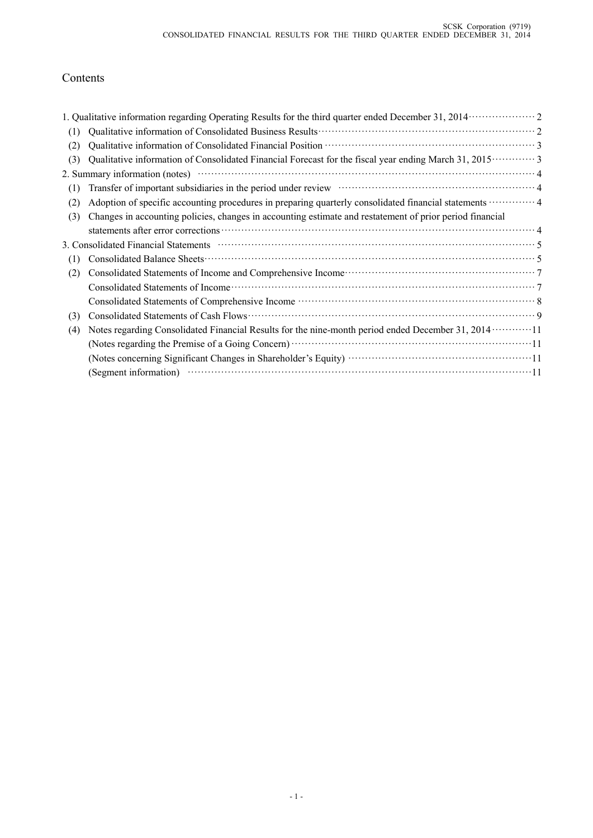# Contents

| (1) |                                                                                                                                                                                                                            |  |
|-----|----------------------------------------------------------------------------------------------------------------------------------------------------------------------------------------------------------------------------|--|
| (2) |                                                                                                                                                                                                                            |  |
| (3) | Qualitative information of Consolidated Financial Forecast for the fiscal year ending March 31, 2015 ············· 3                                                                                                       |  |
|     |                                                                                                                                                                                                                            |  |
| (1) | Transfer of important subsidiaries in the period under review material contact and a 4                                                                                                                                     |  |
| (2) | Adoption of specific accounting procedures in preparing quarterly consolidated financial statements  4                                                                                                                     |  |
| (3) | Changes in accounting policies, changes in accounting estimate and restatement of prior period financial                                                                                                                   |  |
|     |                                                                                                                                                                                                                            |  |
|     | 3. Consolidated Financial Statements <b>Construction</b> Statements 3.                                                                                                                                                     |  |
| (1) |                                                                                                                                                                                                                            |  |
| (2) | Consolidated Statements of Income and Comprehensive Income<br>Theorem Consolidated Statements of Income and Comprehensive Income<br>Theorem Consolidated Statements of Income and Comprehensive Income<br>                 |  |
|     |                                                                                                                                                                                                                            |  |
|     |                                                                                                                                                                                                                            |  |
| (3) | Consolidated Statements of Cash Flows                                                                                                                                                                                      |  |
| (4) | Notes regarding Consolidated Financial Results for the nine-month period ended December 31, 2014 ············11                                                                                                            |  |
|     | (Notes regarding the Premise of a Going Concern) manufactured and the Premise of a Going Concern) manufactured and a state of a Going Concern manufactured and a state of a Going Concern manufactured and a state of $11$ |  |
|     |                                                                                                                                                                                                                            |  |
|     |                                                                                                                                                                                                                            |  |
|     |                                                                                                                                                                                                                            |  |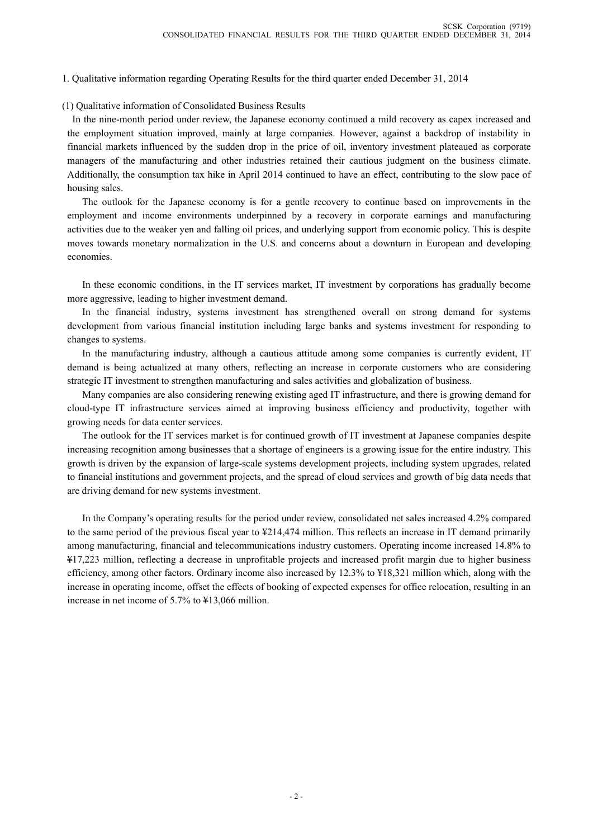## 1. Qualitative information regarding Operating Results for the third quarter ended December 31, 2014

### (1) Qualitative information of Consolidated Business Results

In the nine-month period under review, the Japanese economy continued a mild recovery as capex increased and the employment situation improved, mainly at large companies. However, against a backdrop of instability in financial markets influenced by the sudden drop in the price of oil, inventory investment plateaued as corporate managers of the manufacturing and other industries retained their cautious judgment on the business climate. Additionally, the consumption tax hike in April 2014 continued to have an effect, contributing to the slow pace of housing sales.

 The outlook for the Japanese economy is for a gentle recovery to continue based on improvements in the employment and income environments underpinned by a recovery in corporate earnings and manufacturing activities due to the weaker yen and falling oil prices, and underlying support from economic policy. This is despite moves towards monetary normalization in the U.S. and concerns about a downturn in European and developing economies.

 In these economic conditions, in the IT services market, IT investment by corporations has gradually become more aggressive, leading to higher investment demand.

 In the financial industry, systems investment has strengthened overall on strong demand for systems development from various financial institution including large banks and systems investment for responding to changes to systems.

 In the manufacturing industry, although a cautious attitude among some companies is currently evident, IT demand is being actualized at many others, reflecting an increase in corporate customers who are considering strategic IT investment to strengthen manufacturing and sales activities and globalization of business.

 Many companies are also considering renewing existing aged IT infrastructure, and there is growing demand for cloud-type IT infrastructure services aimed at improving business efficiency and productivity, together with growing needs for data center services.

 The outlook for the IT services market is for continued growth of IT investment at Japanese companies despite increasing recognition among businesses that a shortage of engineers is a growing issue for the entire industry. This growth is driven by the expansion of large-scale systems development projects, including system upgrades, related to financial institutions and government projects, and the spread of cloud services and growth of big data needs that are driving demand for new systems investment.

 In the Company's operating results for the period under review, consolidated net sales increased 4.2% compared to the same period of the previous fiscal year to ¥214,474 million. This reflects an increase in IT demand primarily among manufacturing, financial and telecommunications industry customers. Operating income increased 14.8% to ¥17,223 million, reflecting a decrease in unprofitable projects and increased profit margin due to higher business efficiency, among other factors. Ordinary income also increased by 12.3% to ¥18,321 million which, along with the increase in operating income, offset the effects of booking of expected expenses for office relocation, resulting in an increase in net income of 5.7% to ¥13,066 million.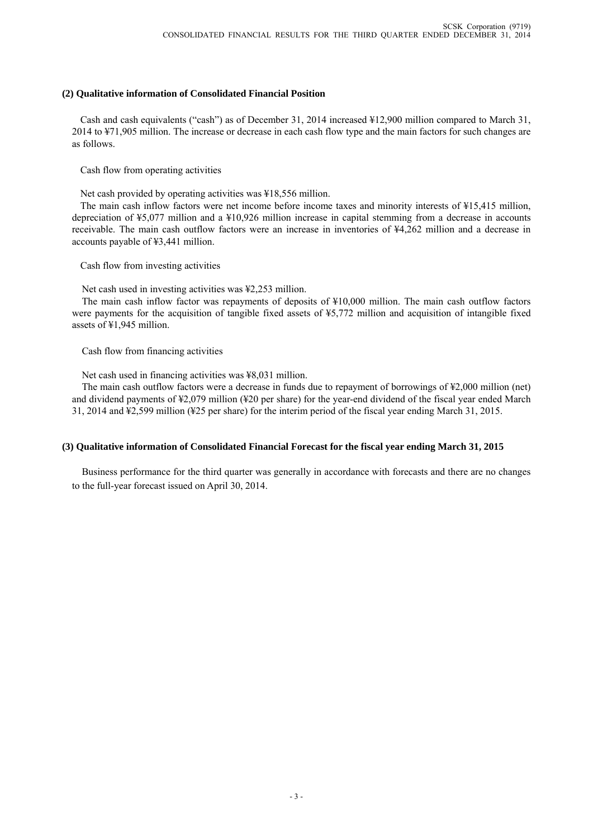## **(2) Qualitative information of Consolidated Financial Position**

Cash and cash equivalents ("cash") as of December 31, 2014 increased ¥12,900 million compared to March 31, 2014 to ¥71,905 million. The increase or decrease in each cash flow type and the main factors for such changes are as follows.

Cash flow from operating activities

Net cash provided by operating activities was ¥18,556 million.

The main cash inflow factors were net income before income taxes and minority interests of ¥15,415 million, depreciation of ¥5,077 million and a ¥10,926 million increase in capital stemming from a decrease in accounts receivable. The main cash outflow factors were an increase in inventories of ¥4,262 million and a decrease in accounts payable of ¥3,441 million.

Cash flow from investing activities

Net cash used in investing activities was ¥2,253 million.

The main cash inflow factor was repayments of deposits of ¥10,000 million. The main cash outflow factors were payments for the acquisition of tangible fixed assets of ¥5,772 million and acquisition of intangible fixed assets of ¥1,945 million.

Cash flow from financing activities

Net cash used in financing activities was ¥8,031 million.

The main cash outflow factors were a decrease in funds due to repayment of borrowings of ¥2,000 million (net) and dividend payments of ¥2,079 million (¥20 per share) for the year-end dividend of the fiscal year ended March 31, 2014 and ¥2,599 million (¥25 per share) for the interim period of the fiscal year ending March 31, 2015.

## **(3) Qualitative information of Consolidated Financial Forecast for the fiscal year ending March 31, 2015**

Business performance for the third quarter was generally in accordance with forecasts and there are no changes to the full-year forecast issued on April 30, 2014.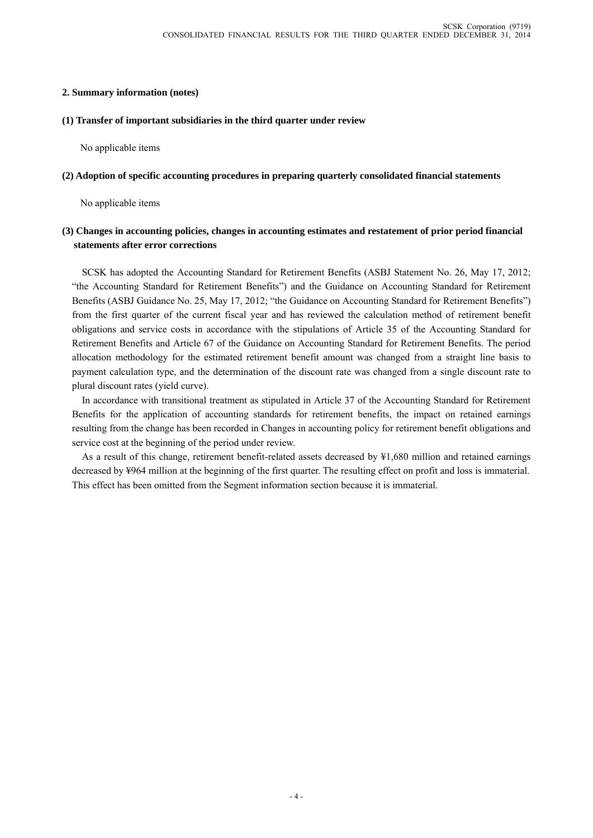### **2. Summary information (notes)**

### **(1) Transfer of important subsidiaries in the third quarter under review**

No applicable items

#### **(2) Adoption of specific accounting procedures in preparing quarterly consolidated financial statements**

No applicable items

## **(3) Changes in accounting policies, changes in accounting estimates and restatement of prior period financial statements after error corrections**

SCSK has adopted the Accounting Standard for Retirement Benefits (ASBJ Statement No. 26, May 17, 2012; "the Accounting Standard for Retirement Benefits") and the Guidance on Accounting Standard for Retirement Benefits (ASBJ Guidance No. 25, May 17, 2012; "the Guidance on Accounting Standard for Retirement Benefits") from the first quarter of the current fiscal year and has reviewed the calculation method of retirement benefit obligations and service costs in accordance with the stipulations of Article 35 of the Accounting Standard for Retirement Benefits and Article 67 of the Guidance on Accounting Standard for Retirement Benefits. The period allocation methodology for the estimated retirement benefit amount was changed from a straight line basis to payment calculation type, and the determination of the discount rate was changed from a single discount rate to plural discount rates (yield curve).

In accordance with transitional treatment as stipulated in Article 37 of the Accounting Standard for Retirement Benefits for the application of accounting standards for retirement benefits, the impact on retained earnings resulting from the change has been recorded in Changes in accounting policy for retirement benefit obligations and service cost at the beginning of the period under review.

As a result of this change, retirement benefit-related assets decreased by ¥1,680 million and retained earnings decreased by ¥964 million at the beginning of the first quarter. The resulting effect on profit and loss is immaterial. This effect has been omitted from the Segment information section because it is immaterial.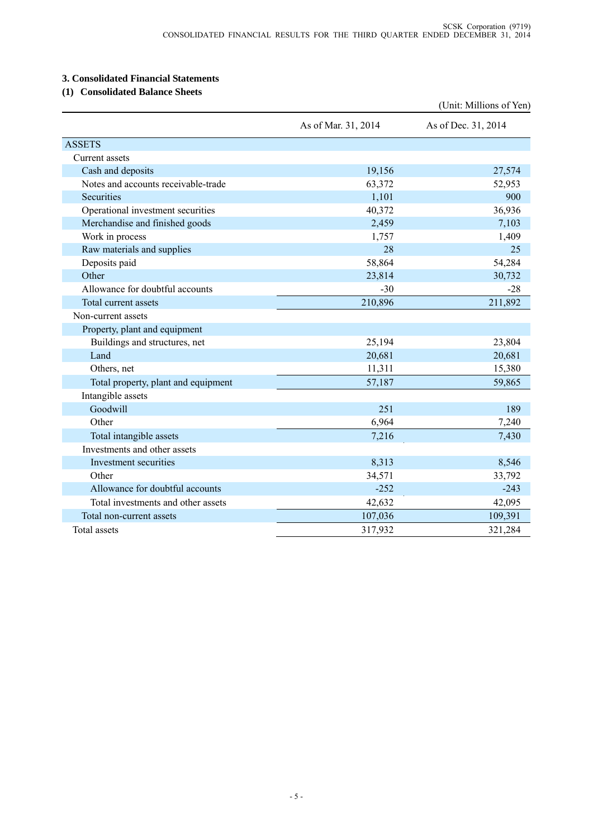## **3. Consolidated Financial Statements**

## **(1) Consolidated Balance Sheets**

|                                     |                     | (Unit: Millions of Yen) |
|-------------------------------------|---------------------|-------------------------|
|                                     | As of Mar. 31, 2014 | As of Dec. 31, 2014     |
| <b>ASSETS</b>                       |                     |                         |
| Current assets                      |                     |                         |
| Cash and deposits                   | 19,156              | 27,574                  |
| Notes and accounts receivable-trade | 63,372              | 52,953                  |
| <b>Securities</b>                   | 1,101               | 900                     |
| Operational investment securities   | 40,372              | 36,936                  |
| Merchandise and finished goods      | 2,459               | 7,103                   |
| Work in process                     | 1,757               | 1,409                   |
| Raw materials and supplies          | 28                  | 25                      |
| Deposits paid                       | 58,864              | 54,284                  |
| Other                               | 23,814              | 30,732                  |
| Allowance for doubtful accounts     | $-30$               | $-28$                   |
| Total current assets                | 210,896             | 211,892                 |
| Non-current assets                  |                     |                         |
| Property, plant and equipment       |                     |                         |
| Buildings and structures, net       | 25,194              | 23,804                  |
| Land                                | 20,681              | 20,681                  |
| Others, net                         | 11,311              | 15,380                  |
| Total property, plant and equipment | 57,187              | 59,865                  |
| Intangible assets                   |                     |                         |
| Goodwill                            | 251                 | 189                     |
| Other                               | 6,964               | 7,240                   |
| Total intangible assets             | 7,216               | 7,430                   |
| Investments and other assets        |                     |                         |
| Investment securities               | 8,313               | 8,546                   |
| Other                               | 34,571              | 33,792                  |
| Allowance for doubtful accounts     | $-252$              | $-243$                  |
| Total investments and other assets  | 42,632              | 42,095                  |
| Total non-current assets            | 107,036             | 109,391                 |
| Total assets                        | 317,932             | 321,284                 |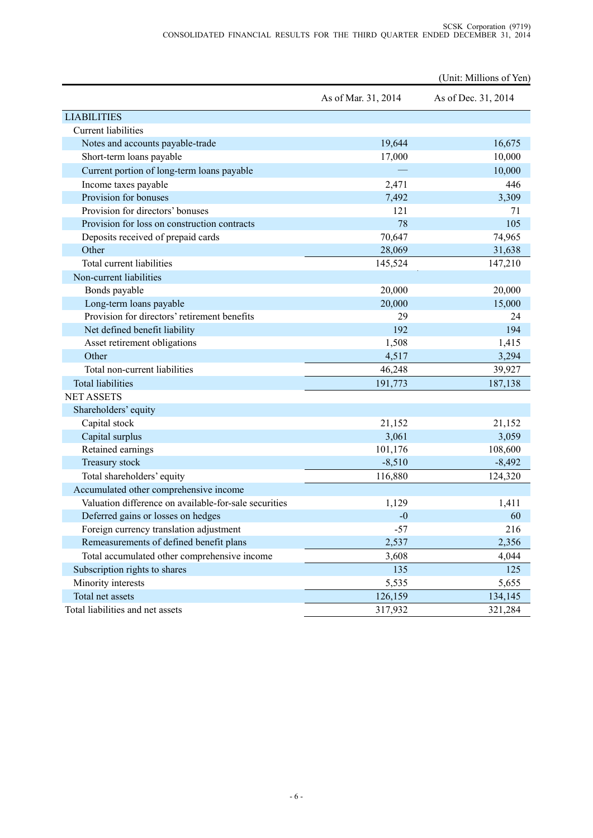|                                                       |                     | (Unit: Millions of Yen) |
|-------------------------------------------------------|---------------------|-------------------------|
|                                                       | As of Mar. 31, 2014 | As of Dec. 31, 2014     |
| <b>LIABILITIES</b>                                    |                     |                         |
| <b>Current liabilities</b>                            |                     |                         |
| Notes and accounts payable-trade                      | 19,644              | 16,675                  |
| Short-term loans payable                              | 17,000              | 10,000                  |
| Current portion of long-term loans payable            |                     | 10,000                  |
| Income taxes payable                                  | 2,471               | 446                     |
| Provision for bonuses                                 | 7,492               | 3,309                   |
| Provision for directors' bonuses                      | 121                 | 71                      |
| Provision for loss on construction contracts          | 78                  | 105                     |
| Deposits received of prepaid cards                    | 70,647              | 74,965                  |
| Other                                                 | 28,069              | 31,638                  |
| Total current liabilities                             | 145,524             | 147,210                 |
| Non-current liabilities                               |                     |                         |
| Bonds payable                                         | 20,000              | 20,000                  |
| Long-term loans payable                               | 20,000              | 15,000                  |
| Provision for directors' retirement benefits          | 29                  | 24                      |
| Net defined benefit liability                         | 192                 | 194                     |
| Asset retirement obligations                          | 1,508               | 1,415                   |
| Other                                                 | 4,517               | 3,294                   |
| Total non-current liabilities                         | 46,248              | 39,927                  |
| <b>Total liabilities</b>                              | 191,773             | 187,138                 |
| <b>NET ASSETS</b>                                     |                     |                         |
| Shareholders' equity                                  |                     |                         |
| Capital stock                                         | 21,152              | 21,152                  |
| Capital surplus                                       | 3,061               | 3,059                   |
| Retained earnings                                     | 101,176             | 108,600                 |
| Treasury stock                                        | $-8,510$            | $-8,492$                |
| Total shareholders' equity                            | 116,880             | 124,320                 |
| Accumulated other comprehensive income                |                     |                         |
| Valuation difference on available-for-sale securities | 1,129               | 1,411                   |
| Deferred gains or losses on hedges                    | $-0$                | 60                      |
| Foreign currency translation adjustment               | $-57$               | 216                     |
| Remeasurements of defined benefit plans               | 2,537               | 2,356                   |
| Total accumulated other comprehensive income          | 3,608               | 4,044                   |
| Subscription rights to shares                         | 135                 | 125                     |
| Minority interests                                    | 5,535               | 5,655                   |
| Total net assets                                      | 126,159             | 134,145                 |
| Total liabilities and net assets                      | 317,932             | 321,284                 |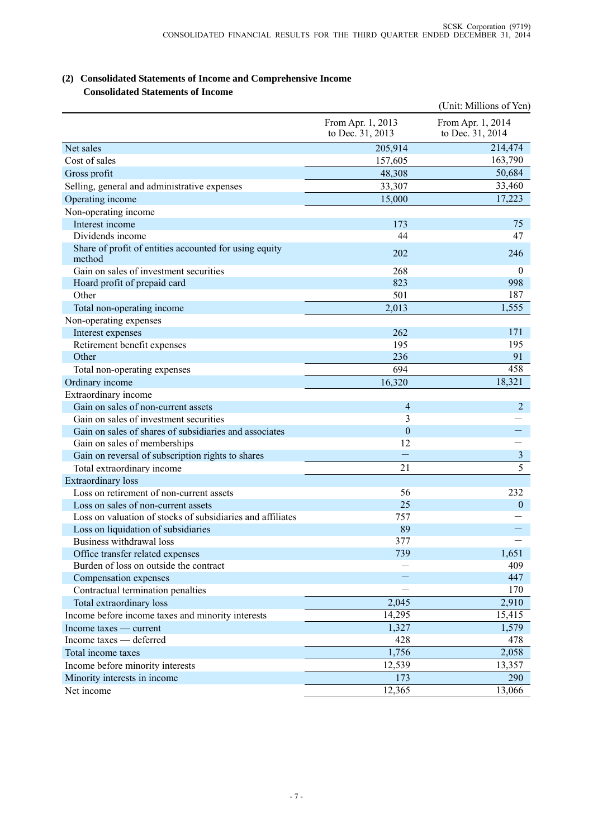## **(2) Consolidated Statements of Income and Comprehensive Income Consolidated Statements of Income**

|                                                                  |                                       | (Unit: Millions of Yen)               |
|------------------------------------------------------------------|---------------------------------------|---------------------------------------|
|                                                                  | From Apr. 1, 2013<br>to Dec. 31, 2013 | From Apr. 1, 2014<br>to Dec. 31, 2014 |
| Net sales                                                        | 205,914                               | 214,474                               |
| Cost of sales                                                    | 157,605                               | 163,790                               |
| Gross profit                                                     | 48,308                                | 50,684                                |
| Selling, general and administrative expenses                     | 33,307                                | 33,460                                |
| Operating income                                                 | 15,000                                | 17,223                                |
| Non-operating income                                             |                                       |                                       |
| Interest income                                                  | 173                                   | 75                                    |
| Dividends income                                                 | 44                                    | 47                                    |
| Share of profit of entities accounted for using equity<br>method | 202                                   | 246                                   |
| Gain on sales of investment securities                           | 268                                   | $\mathbf{0}$                          |
| Hoard profit of prepaid card                                     | 823                                   | 998                                   |
| Other                                                            | 501                                   | 187                                   |
| Total non-operating income                                       | 2,013                                 | 1,555                                 |
| Non-operating expenses                                           |                                       |                                       |
| Interest expenses                                                | 262                                   | 171                                   |
| Retirement benefit expenses                                      | 195                                   | 195                                   |
| Other                                                            | 236                                   | 91                                    |
| Total non-operating expenses                                     | 694                                   | 458                                   |
| Ordinary income                                                  | 16,320                                | 18,321                                |
| Extraordinary income                                             |                                       |                                       |
| Gain on sales of non-current assets                              | $\overline{4}$                        | 2                                     |
| Gain on sales of investment securities                           | 3                                     |                                       |
| Gain on sales of shares of subsidiaries and associates           | $\boldsymbol{0}$                      |                                       |
| Gain on sales of memberships                                     | 12                                    |                                       |
| Gain on reversal of subscription rights to shares                |                                       | $\mathfrak{Z}$                        |
| Total extraordinary income                                       | 21                                    | 5                                     |
| <b>Extraordinary</b> loss                                        |                                       |                                       |
| Loss on retirement of non-current assets                         | 56                                    | 232                                   |
| Loss on sales of non-current assets                              | 25                                    | $\mathbf{0}$                          |
| Loss on valuation of stocks of subsidiaries and affiliates       | 757                                   |                                       |
| Loss on liquidation of subsidiaries                              | 89                                    |                                       |
| Business withdrawal loss                                         | 377                                   |                                       |
| Office transfer related expenses                                 | 739                                   | 1,651                                 |
| Burden of loss on outside the contract                           |                                       | 409                                   |
| Compensation expenses                                            |                                       | 447                                   |
| Contractual termination penalties                                |                                       | 170                                   |
| Total extraordinary loss                                         | 2,045                                 | 2,910                                 |
| Income before income taxes and minority interests                | 14,295                                | 15,415                                |
| Income taxes — current                                           | 1,327                                 | 1,579                                 |
| Income taxes — deferred                                          | 428                                   | 478                                   |
| Total income taxes                                               | 1,756                                 | 2,058                                 |
| Income before minority interests                                 | 12,539                                | 13,357                                |
| Minority interests in income                                     | 173                                   | 290                                   |
| Net income                                                       | 12,365                                | 13,066                                |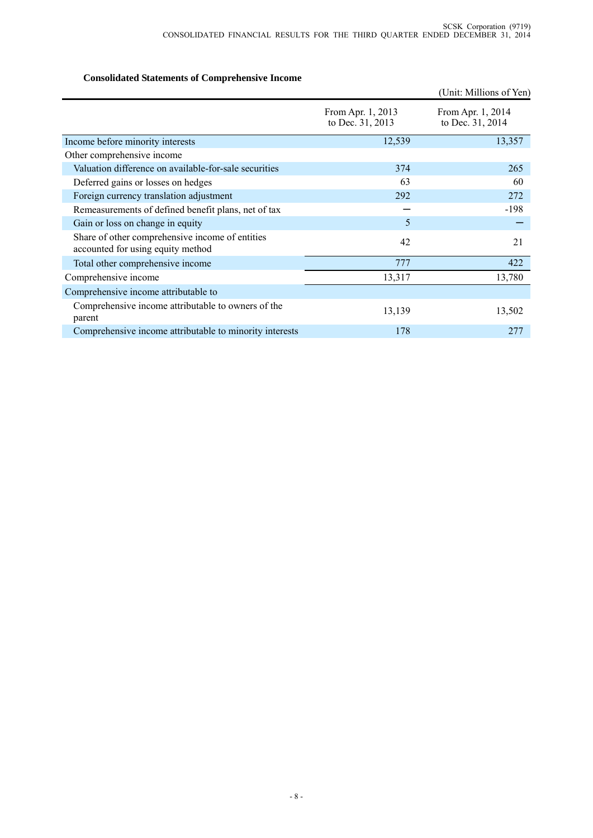# **Consolidated Statements of Comprehensive Income**

|                                                                                      |                                       | (Unit: Millions of Yen)               |
|--------------------------------------------------------------------------------------|---------------------------------------|---------------------------------------|
|                                                                                      | From Apr. 1, 2013<br>to Dec. 31, 2013 | From Apr. 1, 2014<br>to Dec. 31, 2014 |
| Income before minority interests                                                     | 12,539                                | 13,357                                |
| Other comprehensive income                                                           |                                       |                                       |
| Valuation difference on available-for-sale securities                                | 374                                   | 265                                   |
| Deferred gains or losses on hedges                                                   | 63                                    | 60                                    |
| Foreign currency translation adjustment                                              | 292                                   | 272                                   |
| Remeasurements of defined benefit plans, net of tax                                  |                                       | $-198$                                |
| Gain or loss on change in equity                                                     | 5                                     |                                       |
| Share of other comprehensive income of entities<br>accounted for using equity method | 42                                    | 21                                    |
| Total other comprehensive income                                                     | 777                                   | 422                                   |
| Comprehensive income                                                                 | 13,317                                | 13,780                                |
| Comprehensive income attributable to                                                 |                                       |                                       |
| Comprehensive income attributable to owners of the<br>parent                         | 13,139                                | 13,502                                |
| Comprehensive income attributable to minority interests                              | 178                                   | 277                                   |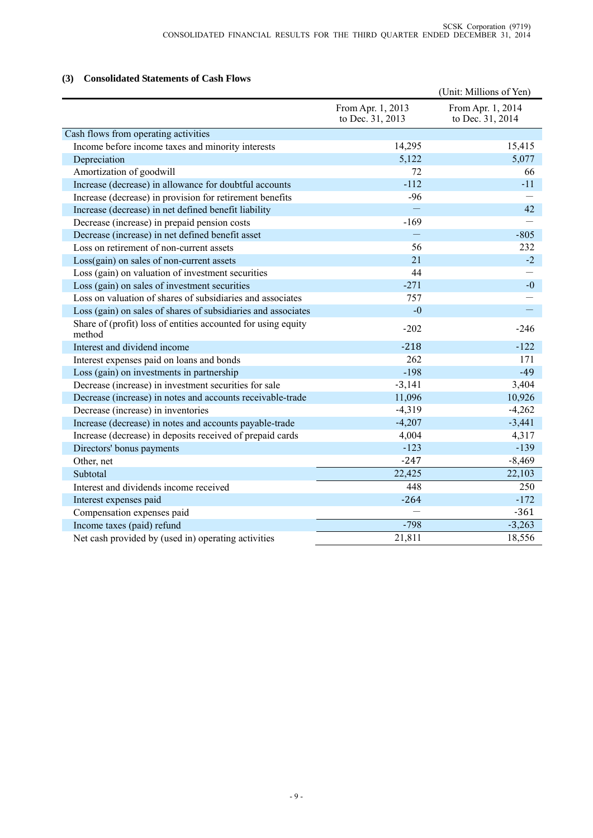## **(3) Consolidated Statements of Cash Flows**

|                                                                         |                                       | (Unit: Millions of Yen)               |
|-------------------------------------------------------------------------|---------------------------------------|---------------------------------------|
|                                                                         | From Apr. 1, 2013<br>to Dec. 31, 2013 | From Apr. 1, 2014<br>to Dec. 31, 2014 |
| Cash flows from operating activities                                    |                                       |                                       |
| Income before income taxes and minority interests                       | 14,295                                | 15,415                                |
| Depreciation                                                            | 5,122                                 | 5,077                                 |
| Amortization of goodwill                                                | 72                                    | 66                                    |
| Increase (decrease) in allowance for doubtful accounts                  | $-112$                                | $-11$                                 |
| Increase (decrease) in provision for retirement benefits                | $-96$                                 |                                       |
| Increase (decrease) in net defined benefit liability                    |                                       | 42                                    |
| Decrease (increase) in prepaid pension costs                            | $-169$                                |                                       |
| Decrease (increase) in net defined benefit asset                        |                                       | $-805$                                |
| Loss on retirement of non-current assets                                | 56                                    | 232                                   |
| Loss(gain) on sales of non-current assets                               | 21                                    | $-2$                                  |
| Loss (gain) on valuation of investment securities                       | 44                                    |                                       |
| Loss (gain) on sales of investment securities                           | $-271$                                | $-0$                                  |
| Loss on valuation of shares of subsidiaries and associates              | 757                                   |                                       |
| Loss (gain) on sales of shares of subsidiaries and associates           | $-0$                                  |                                       |
| Share of (profit) loss of entities accounted for using equity<br>method | $-202$                                | $-246$                                |
| Interest and dividend income                                            | $-218$                                | $-122$                                |
| Interest expenses paid on loans and bonds                               | 262                                   | 171                                   |
| Loss (gain) on investments in partnership                               | $-198$                                | $-49$                                 |
| Decrease (increase) in investment securities for sale                   | $-3,141$                              | 3,404                                 |
| Decrease (increase) in notes and accounts receivable-trade              | 11,096                                | 10,926                                |
| Decrease (increase) in inventories                                      | $-4,319$                              | $-4,262$                              |
| Increase (decrease) in notes and accounts payable-trade                 | $-4,207$                              | $-3,441$                              |
| Increase (decrease) in deposits received of prepaid cards               | 4,004                                 | 4,317                                 |
| Directors' bonus payments                                               | $-123$                                | $-139$                                |
| Other, net                                                              | $-247$                                | $-8,469$                              |
| Subtotal                                                                | 22,425                                | 22,103                                |
| Interest and dividends income received                                  | 448                                   | 250                                   |
| Interest expenses paid                                                  | $-264$                                | $-172$                                |
| Compensation expenses paid                                              |                                       | $-361$                                |
| Income taxes (paid) refund                                              | $-798$                                | $-3,263$                              |
| Net cash provided by (used in) operating activities                     | 21,811                                | 18,556                                |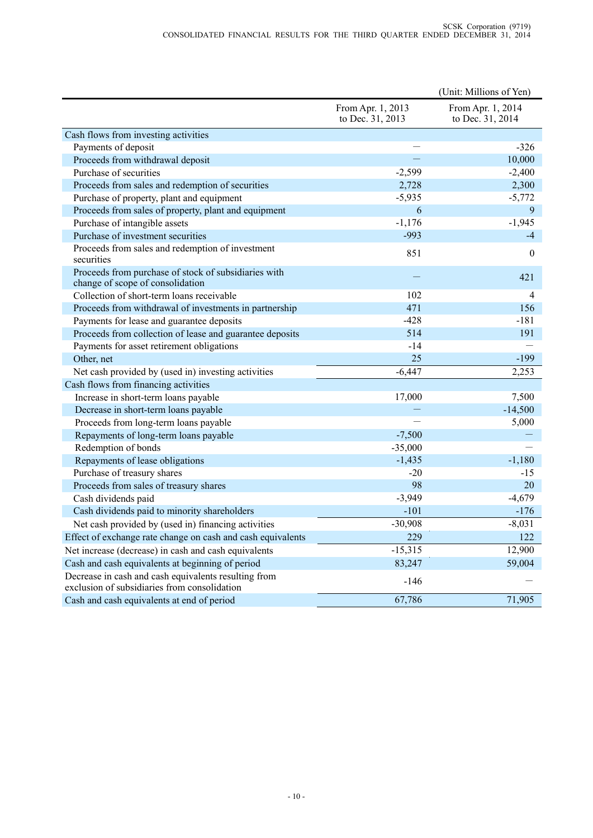|                                                                                                      |                                       | (Unit: Millions of Yen)               |
|------------------------------------------------------------------------------------------------------|---------------------------------------|---------------------------------------|
|                                                                                                      | From Apr. 1, 2013<br>to Dec. 31, 2013 | From Apr. 1, 2014<br>to Dec. 31, 2014 |
| Cash flows from investing activities                                                                 |                                       |                                       |
| Payments of deposit                                                                                  |                                       | $-326$                                |
| Proceeds from withdrawal deposit                                                                     | $\equiv$                              | 10,000                                |
| Purchase of securities                                                                               | $-2,599$                              | $-2,400$                              |
| Proceeds from sales and redemption of securities                                                     | 2,728                                 | 2,300                                 |
| Purchase of property, plant and equipment                                                            | $-5,935$                              | $-5,772$                              |
| Proceeds from sales of property, plant and equipment                                                 | 6                                     | 9                                     |
| Purchase of intangible assets                                                                        | $-1,176$                              | $-1,945$                              |
| Purchase of investment securities                                                                    | $-993$                                | $-4$                                  |
| Proceeds from sales and redemption of investment<br>securities                                       | 851                                   | $\boldsymbol{0}$                      |
| Proceeds from purchase of stock of subsidiaries with<br>change of scope of consolidation             |                                       | 421                                   |
| Collection of short-term loans receivable                                                            | 102                                   | 4                                     |
| Proceeds from withdrawal of investments in partnership                                               | 471                                   | 156                                   |
| Payments for lease and guarantee deposits                                                            | $-428$                                | $-181$                                |
| Proceeds from collection of lease and guarantee deposits                                             | 514                                   | 191                                   |
| Payments for asset retirement obligations                                                            | $-14$                                 |                                       |
| Other, net                                                                                           | 25                                    | $-199$                                |
| Net cash provided by (used in) investing activities                                                  | $-6,447$                              | 2,253                                 |
| Cash flows from financing activities                                                                 |                                       |                                       |
| Increase in short-term loans payable                                                                 | 17,000                                | 7,500                                 |
| Decrease in short-term loans payable                                                                 |                                       | $-14,500$                             |
| Proceeds from long-term loans payable                                                                |                                       | 5,000                                 |
| Repayments of long-term loans payable                                                                | $-7,500$                              |                                       |
| Redemption of bonds                                                                                  | $-35,000$                             |                                       |
| Repayments of lease obligations                                                                      | $-1,435$                              | $-1,180$                              |
| Purchase of treasury shares                                                                          | $-20$                                 | $-15$                                 |
| Proceeds from sales of treasury shares                                                               | 98                                    | 20                                    |
| Cash dividends paid                                                                                  | $-3,949$                              | $-4,679$                              |
| Cash dividends paid to minority shareholders                                                         | $-101$                                | $-176$                                |
| Net cash provided by (used in) financing activities                                                  | $-30,908$                             | $-8,031$                              |
| Effect of exchange rate change on cash and cash equivalents                                          | 229                                   | 122                                   |
| Net increase (decrease) in cash and cash equivalents                                                 | $-15,315$                             | 12,900                                |
| Cash and cash equivalents at beginning of period                                                     | 83,247                                | 59,004                                |
| Decrease in cash and cash equivalents resulting from<br>exclusion of subsidiaries from consolidation | $-146$                                |                                       |
| Cash and cash equivalents at end of period                                                           | 67,786                                | 71,905                                |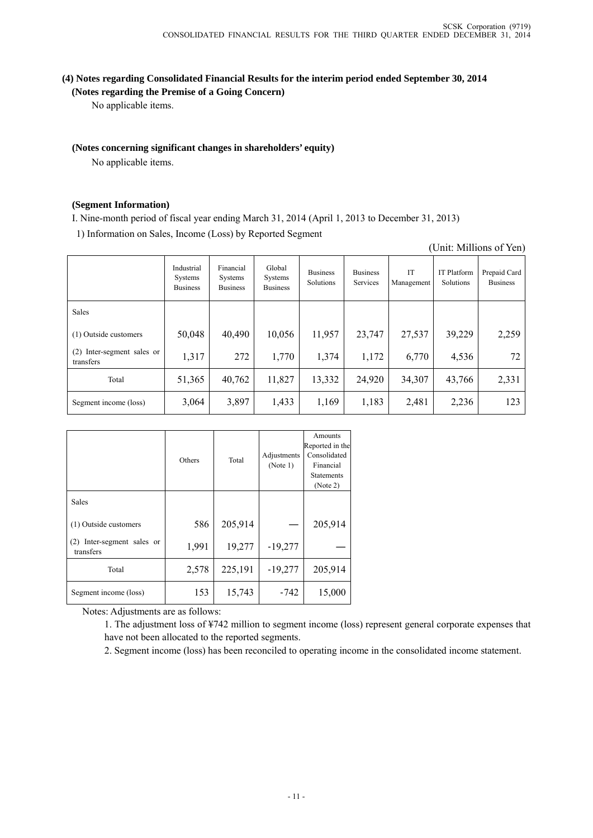## **(4) Notes regarding Consolidated Financial Results for the interim period ended September 30, 2014 (Notes regarding the Premise of a Going Concern)**

No applicable items.

## **(Notes concerning significant changes in shareholders' equity)**

No applicable items.

## **(Segment Information)**

I. Nine-month period of fiscal year ending March 31, 2014 (April 1, 2013 to December 31, 2013)

1) Information on Sales, Income (Loss) by Reported Segment

| (Unit: Millions of Yen) |
|-------------------------|
|                         |

|                                            | Industrial<br>Systems<br><b>Business</b> | Financial<br>Systems<br><b>Business</b> | Global<br>Systems<br><b>Business</b> | <b>Business</b><br>Solutions | <b>Business</b><br>Services | IT<br>Management | <b>IT Platform</b><br>Solutions | Prepaid Card<br><b>Business</b> |
|--------------------------------------------|------------------------------------------|-----------------------------------------|--------------------------------------|------------------------------|-----------------------------|------------------|---------------------------------|---------------------------------|
| Sales                                      |                                          |                                         |                                      |                              |                             |                  |                                 |                                 |
| (1) Outside customers                      | 50,048                                   | 40,490                                  | 10,056                               | 11,957                       | 23,747                      | 27,537           | 39,229                          | 2,259                           |
| Inter-segment sales or<br>(2)<br>transfers | 1,317                                    | 272                                     | 1,770                                | 1,374                        | 1,172                       | 6,770            | 4,536                           | 72                              |
| Total                                      | 51,365                                   | 40,762                                  | 11,827                               | 13,332                       | 24,920                      | 34,307           | 43,766                          | 2,331                           |
| Segment income (loss)                      | 3,064                                    | 3,897                                   | 1,433                                | 1,169                        | 1,183                       | 2,481            | 2,236                           | 123                             |

|                                            | Others | Total   | Adjustments<br>(Note 1) | Amounts<br>Reported in the<br>Consolidated<br>Financial<br><b>Statements</b><br>(Note 2) |
|--------------------------------------------|--------|---------|-------------------------|------------------------------------------------------------------------------------------|
| Sales                                      |        |         |                         |                                                                                          |
| (1) Outside customers                      | 586    | 205,914 |                         | 205,914                                                                                  |
| Inter-segment sales or<br>(2)<br>transfers | 1,991  | 19,277  | $-19,277$               |                                                                                          |
| Total                                      | 2,578  | 225,191 | $-19,277$               | 205,914                                                                                  |
| Segment income (loss)                      | 153    | 15,743  | $-742$                  | 15,000                                                                                   |

Notes: Adjustments are as follows:

1. The adjustment loss of ¥742 million to segment income (loss) represent general corporate expenses that have not been allocated to the reported segments.

2. Segment income (loss) has been reconciled to operating income in the consolidated income statement.